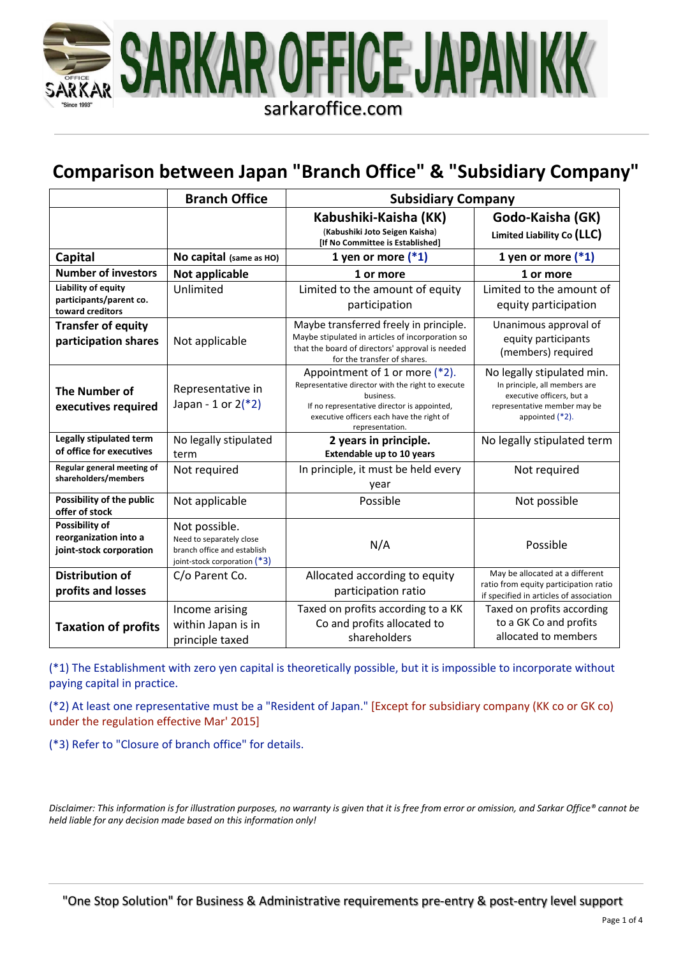

## **Comparison between Japan "Branch Office" & "Subsidiary Company"**

|                                                                    | <b>Branch Office</b>                                                                                     | <b>Subsidiary Company</b>                                                                                                                                                                                       |                                                                                                                                                |  |
|--------------------------------------------------------------------|----------------------------------------------------------------------------------------------------------|-----------------------------------------------------------------------------------------------------------------------------------------------------------------------------------------------------------------|------------------------------------------------------------------------------------------------------------------------------------------------|--|
|                                                                    |                                                                                                          | Kabushiki-Kaisha (KK)<br>(Kabushiki Joto Seigen Kaisha)<br>[If No Committee is Established]                                                                                                                     | Godo-Kaisha (GK)<br>Limited Liability Co (LLC)                                                                                                 |  |
| <b>Capital</b>                                                     | No capital (same as HO)                                                                                  | 1 yen or more $(*1)$                                                                                                                                                                                            | 1 yen or more $(*1)$                                                                                                                           |  |
| <b>Number of investors</b>                                         | Not applicable                                                                                           | 1 or more                                                                                                                                                                                                       | 1 or more                                                                                                                                      |  |
| Liability of equity<br>participants/parent co.<br>toward creditors | Unlimited                                                                                                | Limited to the amount of equity<br>participation                                                                                                                                                                | Limited to the amount of<br>equity participation                                                                                               |  |
| <b>Transfer of equity</b><br>participation shares                  | Not applicable                                                                                           | Maybe transferred freely in principle.<br>Maybe stipulated in articles of incorporation so<br>that the board of directors' approval is needed<br>for the transfer of shares.                                    | Unanimous approval of<br>equity participants<br>(members) required                                                                             |  |
| <b>The Number of</b><br>executives required                        | Representative in<br>Japan - 1 or $2(*)$                                                                 | Appointment of 1 or more (*2).<br>Representative director with the right to execute<br>business.<br>If no representative director is appointed,<br>executive officers each have the right of<br>representation. | No legally stipulated min.<br>In principle, all members are<br>executive officers, but a<br>representative member may be<br>appointed $(*2)$ . |  |
| Legally stipulated term<br>of office for executives                | No legally stipulated<br>term                                                                            | No legally stipulated term<br>2 years in principle.<br><b>Extendable up to 10 years</b>                                                                                                                         |                                                                                                                                                |  |
| Regular general meeting of<br>shareholders/members                 | Not required                                                                                             | In principle, it must be held every<br>year                                                                                                                                                                     | Not required                                                                                                                                   |  |
| Possibility of the public<br>offer of stock                        | Not applicable                                                                                           | Possible                                                                                                                                                                                                        | Not possible                                                                                                                                   |  |
| Possibility of<br>reorganization into a<br>joint-stock corporation | Not possible.<br>Need to separately close<br>branch office and establish<br>joint-stock corporation (*3) | N/A                                                                                                                                                                                                             | Possible                                                                                                                                       |  |
| <b>Distribution of</b><br>profits and losses                       | C/o Parent Co.                                                                                           | Allocated according to equity<br>participation ratio                                                                                                                                                            | May be allocated at a different<br>ratio from equity participation ratio<br>if specified in articles of association                            |  |
| <b>Taxation of profits</b>                                         | Income arising<br>within Japan is in<br>principle taxed                                                  | Taxed on profits according to a KK<br>Co and profits allocated to<br>shareholders                                                                                                                               | Taxed on profits according<br>to a GK Co and profits<br>allocated to members                                                                   |  |

(\*1) The Establishment with zero yen capital is theoretically possible, but it is impossible to incorporate without paying capital in practice.

(\*2) At least one representative must be a "Resident of Japan." [Except for subsidiary company (KK co or GK co) under the regulation effective Mar' 2015]

(\*3) Refer to "Closure of branch office" for details.

*Disclaimer: This information is for illustration purposes, no warranty is given that it is free from error or omission, and Sarkar Office® cannot be held liable for any decision made based on this information only!*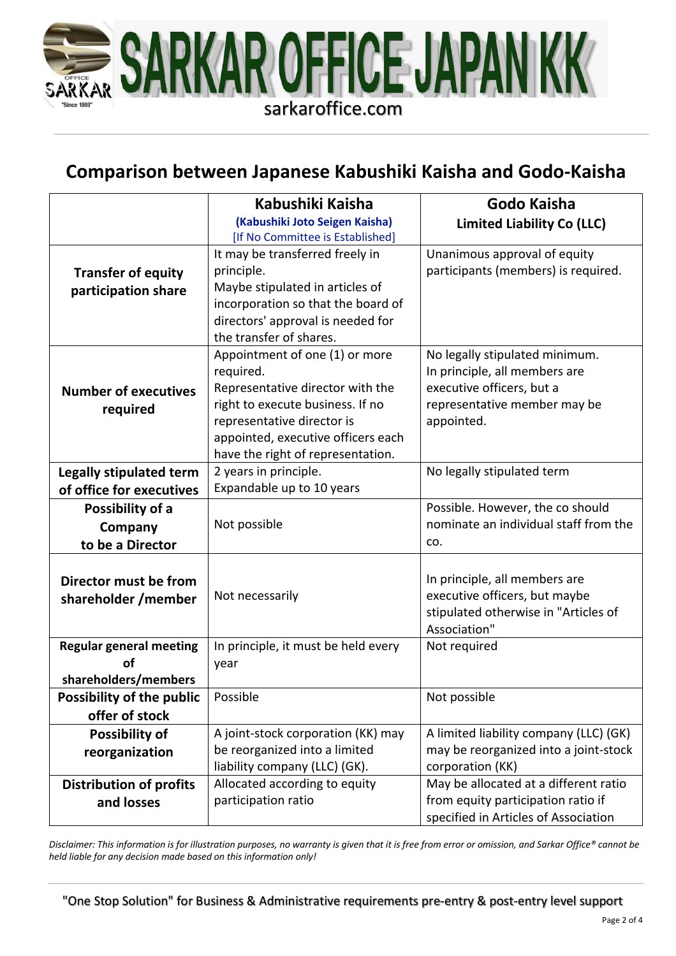

## **Comparison between Japanese Kabushiki Kaisha and Godo-Kaisha**

|                                | Kabushiki Kaisha                    | Godo Kaisha                            |  |
|--------------------------------|-------------------------------------|----------------------------------------|--|
|                                | (Kabushiki Joto Seigen Kaisha)      | <b>Limited Liability Co (LLC)</b>      |  |
|                                | [If No Committee is Established]    |                                        |  |
|                                | It may be transferred freely in     | Unanimous approval of equity           |  |
| <b>Transfer of equity</b>      | principle.                          | participants (members) is required.    |  |
| participation share            | Maybe stipulated in articles of     |                                        |  |
|                                | incorporation so that the board of  |                                        |  |
|                                | directors' approval is needed for   |                                        |  |
|                                | the transfer of shares.             |                                        |  |
|                                | Appointment of one (1) or more      | No legally stipulated minimum.         |  |
|                                | required.                           | In principle, all members are          |  |
| <b>Number of executives</b>    | Representative director with the    | executive officers, but a              |  |
| required                       | right to execute business. If no    | representative member may be           |  |
|                                | representative director is          | appointed.                             |  |
|                                | appointed, executive officers each  |                                        |  |
|                                | have the right of representation.   |                                        |  |
| <b>Legally stipulated term</b> | 2 years in principle.               | No legally stipulated term             |  |
| of office for executives       | Expandable up to 10 years           |                                        |  |
| Possibility of a               |                                     | Possible. However, the co should       |  |
| Company                        | Not possible                        | nominate an individual staff from the  |  |
| to be a Director               |                                     | CO.                                    |  |
|                                |                                     |                                        |  |
| Director must be from          |                                     | In principle, all members are          |  |
| shareholder / member           | Not necessarily                     | executive officers, but maybe          |  |
|                                |                                     | stipulated otherwise in "Articles of   |  |
|                                |                                     | Association"                           |  |
| <b>Regular general meeting</b> | In principle, it must be held every | Not required                           |  |
| οf                             | year                                |                                        |  |
| shareholders/members           |                                     |                                        |  |
| Possibility of the public      | Possible                            | Not possible                           |  |
| offer of stock                 |                                     |                                        |  |
| Possibility of                 | A joint-stock corporation (KK) may  | A limited liability company (LLC) (GK) |  |
| reorganization                 | be reorganized into a limited       | may be reorganized into a joint-stock  |  |
|                                | liability company (LLC) (GK).       | corporation (KK)                       |  |
| <b>Distribution of profits</b> | Allocated according to equity       | May be allocated at a different ratio  |  |
| and losses                     | participation ratio                 | from equity participation ratio if     |  |
|                                |                                     | specified in Articles of Association   |  |

*Disclaimer: This information is for illustration purposes, no warranty is given that it is free from error or omission, and Sarkar Office® cannot be held liable for any decision made based on this information only!*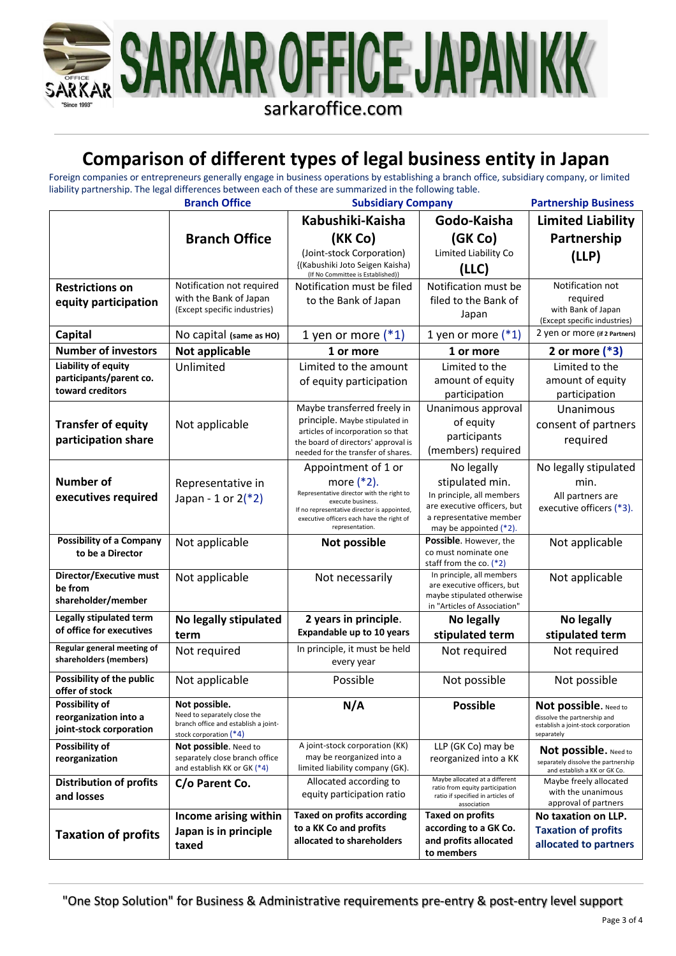

## **Comparison of different types of legal business entity in Japan**

Foreign companies or entrepreneurs generally engage in business operations by establishing a branch office, subsidiary company, or limited liability partnership. The legal differences between each of these are summarized in the following table.

|                                                                    | <b>Branch Office</b>                                                                                              | <b>Subsidiary Company</b>                                                                                                                                                                                             |                                                                                                                                                | <b>Partnership Business</b>                                                                                |
|--------------------------------------------------------------------|-------------------------------------------------------------------------------------------------------------------|-----------------------------------------------------------------------------------------------------------------------------------------------------------------------------------------------------------------------|------------------------------------------------------------------------------------------------------------------------------------------------|------------------------------------------------------------------------------------------------------------|
|                                                                    |                                                                                                                   | Kabushiki-Kaisha                                                                                                                                                                                                      | Godo-Kaisha                                                                                                                                    | <b>Limited Liability</b>                                                                                   |
|                                                                    | <b>Branch Office</b>                                                                                              | (KK Co)                                                                                                                                                                                                               | (GK Co)                                                                                                                                        | Partnership                                                                                                |
|                                                                    |                                                                                                                   | (Joint-stock Corporation)<br>{(Kabushiki Joto Seigen Kaisha)<br>(If No Committee is Established)}                                                                                                                     | Limited Liability Co<br>(LLC)                                                                                                                  | (LLP)                                                                                                      |
| <b>Restrictions on</b><br>equity participation                     | Notification not required<br>with the Bank of Japan<br>(Except specific industries)                               | Notification must be filed<br>to the Bank of Japan                                                                                                                                                                    | Notification must be<br>filed to the Bank of<br>Japan                                                                                          | Notification not<br>required<br>with Bank of Japan<br>(Except specific industries)                         |
| <b>Capital</b>                                                     | No capital (same as HO)                                                                                           | 1 yen or more $(*1)$                                                                                                                                                                                                  | 1 yen or more $(*1)$                                                                                                                           | 2 yen or more (if 2 Partners)                                                                              |
| <b>Number of investors</b>                                         | Not applicable                                                                                                    | 1 or more                                                                                                                                                                                                             | 1 or more                                                                                                                                      | 2 or more $(*3)$                                                                                           |
| Liability of equity<br>participants/parent co.<br>toward creditors | Unlimited                                                                                                         | Limited to the amount<br>of equity participation                                                                                                                                                                      | Limited to the<br>amount of equity<br>participation                                                                                            | Limited to the<br>amount of equity<br>participation                                                        |
| <b>Transfer of equity</b><br>participation share                   | Not applicable                                                                                                    | Maybe transferred freely in<br>principle. Maybe stipulated in<br>articles of incorporation so that<br>the board of directors' approval is<br>needed for the transfer of shares.                                       | Unanimous approval<br>of equity<br>participants<br>(members) required                                                                          | Unanimous<br>consent of partners<br>required                                                               |
| <b>Number of</b><br>executives required                            | Representative in<br>Japan - 1 or $2(*2)$                                                                         | Appointment of 1 or<br>more $(*2)$ .<br>Representative director with the right to<br>execute business.<br>If no representative director is appointed,<br>executive officers each have the right of<br>representation. | No legally<br>stipulated min.<br>In principle, all members<br>are executive officers, but<br>a representative member<br>may be appointed (*2). | No legally stipulated<br>min.<br>All partners are<br>executive officers (*3).                              |
| <b>Possibility of a Company</b><br>to be a Director                | Not applicable                                                                                                    | <b>Not possible</b>                                                                                                                                                                                                   | <b>Possible.</b> However, the<br>co must nominate one<br>staff from the co. $(*2)$                                                             | Not applicable                                                                                             |
| Director/Executive must<br>be from<br>shareholder/member           | Not applicable                                                                                                    | Not necessarily                                                                                                                                                                                                       | In principle, all members<br>are executive officers, but<br>maybe stipulated otherwise<br>in "Articles of Association"                         | Not applicable                                                                                             |
| Legally stipulated term                                            | No legally stipulated                                                                                             | 2 years in principle.                                                                                                                                                                                                 | No legally                                                                                                                                     | No legally                                                                                                 |
| of office for executives                                           | term                                                                                                              | <b>Expandable up to 10 years</b>                                                                                                                                                                                      | stipulated term                                                                                                                                | stipulated term                                                                                            |
| Regular general meeting of<br>shareholders (members)               | Not required                                                                                                      | In principle, it must be held<br>every year                                                                                                                                                                           | Not required                                                                                                                                   | Not required                                                                                               |
| Possibility of the public<br>offer of stock                        | Not applicable                                                                                                    | Possible                                                                                                                                                                                                              | Not possible                                                                                                                                   | Not possible                                                                                               |
| Possibility of<br>reorganization into a<br>joint-stock corporation | Not possible.<br>Need to separately close the<br>branch office and establish a joint-<br>stock corporation $(*4)$ | N/A                                                                                                                                                                                                                   | <b>Possible</b>                                                                                                                                | Not possible. Need to<br>dissolve the partnership and<br>establish a joint-stock corporation<br>separately |
| Possibility of<br>reorganization                                   | Not possible. Need to<br>separately close branch office<br>and establish KK or GK (*4)                            | A joint-stock corporation (KK)<br>may be reorganized into a<br>limited liability company (GK).                                                                                                                        | LLP (GK Co) may be<br>reorganized into a KK                                                                                                    | Not possible. Need to<br>separately dissolve the partnership<br>and establish a KK or GK Co.               |
| <b>Distribution of profits</b><br>and losses                       | C/o Parent Co.                                                                                                    | Allocated according to<br>equity participation ratio                                                                                                                                                                  | Maybe allocated at a different<br>ratio from equity participation<br>ratio if specified in articles of<br>association                          | Maybe freely allocated<br>with the unanimous<br>approval of partners                                       |
| <b>Taxation of profits</b>                                         | Income arising within<br>Japan is in principle<br>taxed                                                           | <b>Taxed on profits according</b><br>to a KK Co and profits<br>allocated to shareholders                                                                                                                              | Taxed on profits<br>according to a GK Co.<br>and profits allocated<br>to members                                                               | No taxation on LLP.<br><b>Taxation of profits</b><br>allocated to partners                                 |

"One Stop Solution" for Business & Administrative requirements pre-entry & post-entry level support